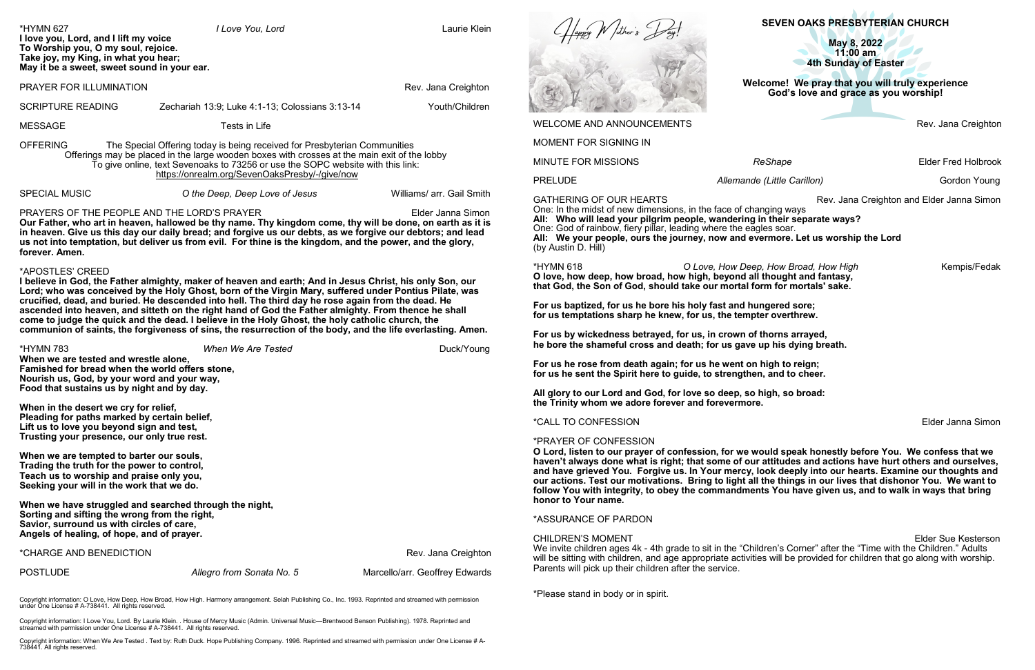**SEVEN OAKS PRESBYTERIAN CHURCH**

**May 8, 2022 11:00 am Since the Company 4th Sunday of Easter** 

**Welcome!****We pray that you will truly experience God's love and grace as you worship!**

Rev. Jana Creighton

**ReShape ReShape ReShape ReShape ReShape Elder Fred Holbrook** 

Allemande *(Little Carillon)* **Gordon Young Gordon Young** 

Rev. Jana Creighton and Elder Janna Simon

e face of changing ways **Wandering in their separate ways?** where the eagles soar. now and evermore. Let us worship the Lord

 $xe$ , How Deep, How Broad, How High **Example 20 Company Kempis/Fedak o** beyond all thought and fantasy,  $\dot{\mathbf{b}}$ ur mortal form for mortals' sake.

**fast and hungered sore; is, the tempter overthrew.** 

in crown of thorns arrayed, for us gave up his dying breath.

**he went on high to reign;** to strengthen, and to cheer.

**All glory to our Lord and God, for love so deep, so high, so broad:** forevermore.

Elder Janna Simon

on, for we would speak honestly before You. We confess that we some of our attitudes and actions have hurt others and ourselves, **'our mercy, look deeply into our hearts. Examine our thoughts and g** to light all the things in our lives that dishonor You. We want to ommandments You have given us, and to walk in ways that bring

Elder Sue Kesterson it in the "Children's Corner" after the "Time with the Children." Adults priate activities will be provided for children that go along with worship.

| *HYMN 627<br>I love you, Lord, and I lift my voice<br>To Worship you, O my soul, rejoice.<br>Take joy, my King, in what you hear;<br>May it be a sweet, sweet sound in your ear.                                                                                                                                                                                                                                            | I Love You, Lord                                                                                                                                                                                                                                                                                                                                                                                                                                                                                                                                                                                                                                    | Laurie Klein                                          |                                                                                                                                                                                                                                                                                                              |
|-----------------------------------------------------------------------------------------------------------------------------------------------------------------------------------------------------------------------------------------------------------------------------------------------------------------------------------------------------------------------------------------------------------------------------|-----------------------------------------------------------------------------------------------------------------------------------------------------------------------------------------------------------------------------------------------------------------------------------------------------------------------------------------------------------------------------------------------------------------------------------------------------------------------------------------------------------------------------------------------------------------------------------------------------------------------------------------------------|-------------------------------------------------------|--------------------------------------------------------------------------------------------------------------------------------------------------------------------------------------------------------------------------------------------------------------------------------------------------------------|
| PRAYER FOR ILLUMINATION<br>Rev. Jana Creighton                                                                                                                                                                                                                                                                                                                                                                              |                                                                                                                                                                                                                                                                                                                                                                                                                                                                                                                                                                                                                                                     |                                                       |                                                                                                                                                                                                                                                                                                              |
| <b>SCRIPTURE READING</b>                                                                                                                                                                                                                                                                                                                                                                                                    | Zechariah 13:9; Luke 4:1-13; Colossians 3:13-14                                                                                                                                                                                                                                                                                                                                                                                                                                                                                                                                                                                                     | Youth/Children                                        |                                                                                                                                                                                                                                                                                                              |
| <b>MESSAGE</b>                                                                                                                                                                                                                                                                                                                                                                                                              | Tests in Life                                                                                                                                                                                                                                                                                                                                                                                                                                                                                                                                                                                                                                       |                                                       | <b>WELCOME AND ANNOUNCEMENTS</b>                                                                                                                                                                                                                                                                             |
| <b>OFFERING</b><br>The Special Offering today is being received for Presbyterian Communities<br>Offerings may be placed in the large wooden boxes with crosses at the main exit of the lobby<br>To give online, text Sevenoaks to 73256 or use the SOPC website with this link:<br>https://onrealm.org/SevenOaksPresby/-/give/now                                                                                           |                                                                                                                                                                                                                                                                                                                                                                                                                                                                                                                                                                                                                                                     |                                                       | MOMENT FOR SIGNING IN                                                                                                                                                                                                                                                                                        |
|                                                                                                                                                                                                                                                                                                                                                                                                                             |                                                                                                                                                                                                                                                                                                                                                                                                                                                                                                                                                                                                                                                     |                                                       | <b>MINUTE FOR MISSIONS</b>                                                                                                                                                                                                                                                                                   |
|                                                                                                                                                                                                                                                                                                                                                                                                                             |                                                                                                                                                                                                                                                                                                                                                                                                                                                                                                                                                                                                                                                     |                                                       | <b>PRELUDE</b><br>Allem                                                                                                                                                                                                                                                                                      |
| <b>SPECIAL MUSIC</b>                                                                                                                                                                                                                                                                                                                                                                                                        | O the Deep, Deep Love of Jesus                                                                                                                                                                                                                                                                                                                                                                                                                                                                                                                                                                                                                      | Williams/ arr. Gail Smith                             | <b>GATHERING OF OUR HEARTS</b>                                                                                                                                                                                                                                                                               |
| PRAYERS OF THE PEOPLE AND THE LORD'S PRAYER<br>Elder Janna Simon<br>Our Father, who art in heaven, hallowed be thy name. Thy kingdom come, thy will be done, on earth as it is<br>in heaven. Give us this day our daily bread; and forgive us our debts, as we forgive our debtors; and lead<br>us not into temptation, but deliver us from evil. For thine is the kingdom, and the power, and the glory,<br>forever. Amen. |                                                                                                                                                                                                                                                                                                                                                                                                                                                                                                                                                                                                                                                     |                                                       | One: In the midst of new dimensions, in the face of<br>All: Who will lead your pilgrim people, wander<br>One: God of rainbow, fiery pillar, leading where the<br>All: We your people, ours the journey, now an<br>(by Austin D. Hill)                                                                        |
|                                                                                                                                                                                                                                                                                                                                                                                                                             | I believe in God, the Father almighty, maker of heaven and earth; And in Jesus Christ, his only Son, our<br>Lord; who was conceived by the Holy Ghost, born of the Virgin Mary, suffered under Pontius Pilate, was<br>crucified, dead, and buried. He descended into hell. The third day he rose again from the dead. He<br>ascended into heaven, and sitteth on the right hand of God the Father almighty. From thence he shall<br>come to judge the quick and the dead. I believe in the Holy Ghost, the holy catholic church, the<br>communion of saints, the forgiveness of sins, the resurrection of the body, and the life everlasting. Amen. |                                                       | O love, how deep, how broad, how high, beyon<br>that God, the Son of God, should take our mort<br>For us baptized, for us he bore his holy fast an<br>for us temptations sharp he knew, for us, the te<br>For us by wickedness betrayed, for us, in crow<br>he bore the shameful cross and death; for us g   |
| *HYMN 783<br>When we are tested and wrestle alone,<br>Famished for bread when the world offers stone,<br>Nourish us, God, by your word and your way,                                                                                                                                                                                                                                                                        | When We Are Tested                                                                                                                                                                                                                                                                                                                                                                                                                                                                                                                                                                                                                                  | Duck/Young                                            | For us he rose from death again; for us he wen<br>for us he sent the Spirit here to guide, to streng                                                                                                                                                                                                         |
| Food that sustains us by night and by day.<br>When in the desert we cry for relief,<br>Pleading for paths marked by certain belief,<br>Lift us to love you beyond sign and test,                                                                                                                                                                                                                                            |                                                                                                                                                                                                                                                                                                                                                                                                                                                                                                                                                                                                                                                     |                                                       | All glory to our Lord and God, for love so deep<br>the Trinity whom we adore forever and forever                                                                                                                                                                                                             |
|                                                                                                                                                                                                                                                                                                                                                                                                                             |                                                                                                                                                                                                                                                                                                                                                                                                                                                                                                                                                                                                                                                     |                                                       | *CALL TO CONFESSION                                                                                                                                                                                                                                                                                          |
| Trusting your presence, our only true rest.<br>When we are tempted to barter our souls,<br>Trading the truth for the power to control,<br>Teach us to worship and praise only you,<br>Seeking your will in the work that we do.                                                                                                                                                                                             |                                                                                                                                                                                                                                                                                                                                                                                                                                                                                                                                                                                                                                                     |                                                       | *PRAYER OF CONFESSION<br>O Lord, listen to our prayer of confession, for v<br>haven't always done what is right; that some of<br>and have grieved You. Forgive us. In Your mer<br>our actions. Test our motivations. Bring to light<br>follow You with integrity, to obey the command<br>honor to Your name. |
| When we have struggled and searched through the night,<br>Sorting and sifting the wrong from the right,                                                                                                                                                                                                                                                                                                                     |                                                                                                                                                                                                                                                                                                                                                                                                                                                                                                                                                                                                                                                     |                                                       | *ASSURANCE OF PARDON                                                                                                                                                                                                                                                                                         |
| Savior, surround us with circles of care,<br>Angels of healing, of hope, and of prayer.                                                                                                                                                                                                                                                                                                                                     |                                                                                                                                                                                                                                                                                                                                                                                                                                                                                                                                                                                                                                                     |                                                       |                                                                                                                                                                                                                                                                                                              |
| *CHARGE AND BENEDICTION<br><b>POSTLUDE</b>                                                                                                                                                                                                                                                                                                                                                                                  | Allegro from Sonata No. 5                                                                                                                                                                                                                                                                                                                                                                                                                                                                                                                                                                                                                           | Rev. Jana Creighton<br>Marcello/arr. Geoffrey Edwards | <b>CHILDREN'S MOMENT</b><br>We invite children ages 4k - 4th grade to sit in the<br>will be sitting with children, and age appropriate ad<br>Parents will pick up their children after the service.                                                                                                          |
| under One License # A-738441. All rights reserved.                                                                                                                                                                                                                                                                                                                                                                          | Copyright information: O Love, How Deep, How Broad, How High. Harmony arrangement. Selah Publishing Co., Inc. 1993. Reprinted and streamed with permission                                                                                                                                                                                                                                                                                                                                                                                                                                                                                          |                                                       | *Please stand in body or in spirit.                                                                                                                                                                                                                                                                          |

Copyright information: I Love You, Lord. By Laurie Klein. . House of Mercy Music (Admin. Universal Music—Brentwood Benson Publishing). 1978. Reprinted and streamed with permission under One License # A-738441. All rights reserved.

Copyright information: When We Are Tested . Text by: Ruth Duck. Hope Publishing Company. 1996. Reprinted and streamed with permission under One License # A-<br>738441. All rights reserved.